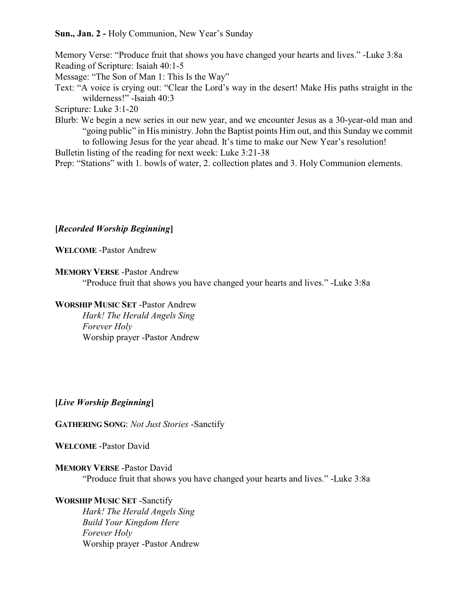## **Sun., Jan. 2 -** Holy Communion, New Year's Sunday

Memory Verse: "Produce fruit that shows you have changed your hearts and lives." -Luke 3:8a Reading of Scripture: Isaiah 40:1-5 Message: "The Son of Man 1: This Is the Way" Text: "A voice is crying out: "Clear the Lord's way in the desert! Make His paths straight in the wilderness!" -Isaiah 40:3 Scripture: Luke 3:1-20 Blurb: We begin a new series in our new year, and we encounter Jesus as a 30-year-old man and "going public" in His ministry. John the Baptist points Him out, and this Sunday we commit

to following Jesus for the year ahead. It's time to make our New Year's resolution! Bulletin listing of the reading for next week: Luke 3:21-38

Prep: "Stations" with 1. bowls of water, 2. collection plates and 3. Holy Communion elements.

## **[***Recorded Worship Beginning***]**

**WELCOME** -Pastor Andrew

**MEMORY VERSE** -Pastor Andrew

"Produce fruit that shows you have changed your hearts and lives." -Luke 3:8a

# **WORSHIP MUSIC SET** -Pastor Andrew

*Hark! The Herald Angels Sing Forever Holy* Worship prayer -Pastor Andrew

## **[***Live Worship Beginning***]**

**GATHERING SONG**: *Not Just Stories* -Sanctify

**WELCOME** -Pastor David

## **MEMORY VERSE** -Pastor David

"Produce fruit that shows you have changed your hearts and lives." -Luke 3:8a

# **WORSHIP MUSIC SET** -Sanctify

*Hark! The Herald Angels Sing Build Your Kingdom Here Forever Holy* Worship prayer -Pastor Andrew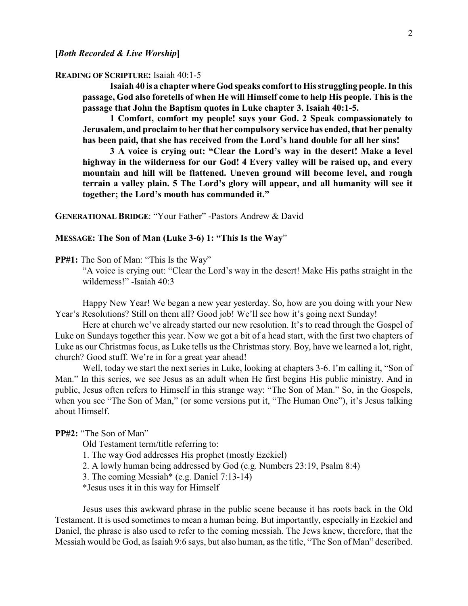#### **READING OF SCRIPTURE:** Isaiah 40:1-5

**Isaiah 40 is a chapter where God speaks comfort to His struggling people. In this passage, God also foretells of when He will Himself come to help His people. This is the passage that John the Baptism quotes in Luke chapter 3. Isaiah 40:1-5.**

**1 Comfort, comfort my people! says your God. 2 Speak compassionately to Jerusalem, and proclaimto her that her compulsory service has ended, that her penalty has been paid, that she has received from the Lord's hand double for all her sins!**

**3 A voice is crying out: "Clear the Lord's way in the desert! Make a level highway in the wilderness for our God! 4 Every valley will be raised up, and every mountain and hill will be flattened. Uneven ground will become level, and rough terrain a valley plain. 5 The Lord's glory will appear, and all humanity will see it together; the Lord's mouth has commanded it."**

**GENERATIONAL BRIDGE**: "Your Father" -Pastors Andrew & David

#### **MESSAGE: The Son of Man (Luke 3-6) 1: "This Is the Way**"

**PP#1:** The Son of Man: "This Is the Way"

"A voice is crying out: "Clear the Lord's way in the desert! Make His paths straight in the wilderness!" -Isaiah 40:3

Happy New Year! We began a new year yesterday. So, how are you doing with your New Year's Resolutions? Still on them all? Good job! We'll see how it's going next Sunday!

Here at church we've already started our new resolution. It's to read through the Gospel of Luke on Sundays together this year. Now we got a bit of a head start, with the first two chapters of Luke as our Christmas focus, as Luke tells us the Christmas story. Boy, have we learned a lot, right, church? Good stuff. We're in for a great year ahead!

Well, today we start the next series in Luke, looking at chapters 3-6. I'm calling it, "Son of Man." In this series, we see Jesus as an adult when He first begins His public ministry. And in public, Jesus often refers to Himself in this strange way: "The Son of Man." So, in the Gospels, when you see "The Son of Man," (or some versions put it, "The Human One"), it's Jesus talking about Himself.

### **PP#2:** "The Son of Man"

Old Testament term/title referring to:

- 1. The way God addresses His prophet (mostly Ezekiel)
- 2. A lowly human being addressed by God (e.g. Numbers 23:19, Psalm 8:4)
- 3. The coming Messiah\* (e.g. Daniel 7:13-14)
- \*Jesus uses it in this way for Himself

Jesus uses this awkward phrase in the public scene because it has roots back in the Old Testament. It is used sometimes to mean a human being. But importantly, especially in Ezekiel and Daniel, the phrase is also used to refer to the coming messiah. The Jews knew, therefore, that the Messiah would be God, as Isaiah 9:6 says, but also human, as the title, "The Son of Man" described.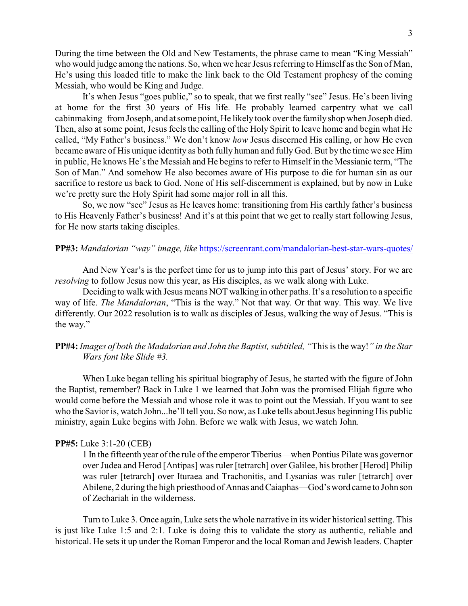During the time between the Old and New Testaments, the phrase came to mean "King Messiah" who would judge among the nations. So, when we hear Jesus referring to Himself as the Son of Man, He's using this loaded title to make the link back to the Old Testament prophesy of the coming Messiah, who would be King and Judge.

It's when Jesus "goes public," so to speak, that we first really "see" Jesus. He's been living at home for the first 30 years of His life. He probably learned carpentry–what we call cabinmaking–from Joseph, and at some point, He likely took over the family shop when Joseph died. Then, also at some point, Jesus feels the calling of the Holy Spirit to leave home and begin what He called, "My Father's business." We don't know *how* Jesus discerned His calling, or how He even became aware of His unique identity as both fully human and fully God. But by the time we see Him in public, He knows He's the Messiah and He begins to refer to Himself in the Messianic term, "The Son of Man." And somehow He also becomes aware of His purpose to die for human sin as our sacrifice to restore us back to God. None of His self-discernment is explained, but by now in Luke we're pretty sure the Holy Spirit had some major roll in all this.

So, we now "see" Jesus as He leaves home: transitioning from His earthly father's business to His Heavenly Father's business! And it's at this point that we get to really start following Jesus, for He now starts taking disciples.

# **PP#3:** *Mandalorian "way" image, like* <https://screenrant.com/mandalorian-best-star-wars-quotes/>

And New Year's is the perfect time for us to jump into this part of Jesus' story. For we are *resolving* to follow Jesus now this year, as His disciples, as we walk along with Luke.

Deciding to walk with Jesus means NOT walking in other paths. It's a resolution to a specific way of life. *The Mandalorian*, "This is the way." Not that way. Or that way. This way. We live differently. Our 2022 resolution is to walk as disciples of Jesus, walking the way of Jesus. "This is the way."

# **PP#4:** *Images of both the Madalorian and John the Baptist, subtitled, "*This is the way!*" in the Star Wars font like Slide #3.*

When Luke began telling his spiritual biography of Jesus, he started with the figure of John the Baptist, remember? Back in Luke 1 we learned that John was the promised Elijah figure who would come before the Messiah and whose role it was to point out the Messiah. If you want to see who the Savior is, watch John...he'll tell you. So now, as Luke tells about Jesus beginning His public ministry, again Luke begins with John. Before we walk with Jesus, we watch John.

### **PP#5:** Luke 3:1-20 (CEB)

1 In the fifteenth year of the rule of the emperor Tiberius—when Pontius Pilate was governor over Judea and Herod [Antipas] was ruler [tetrarch] over Galilee, his brother [Herod] Philip was ruler [tetrarch] over Ituraea and Trachonitis, and Lysanias was ruler [tetrarch] over Abilene, 2 during the high priesthood of Annas and Caiaphas—God's word came to John son of Zechariah in the wilderness.

Turn to Luke 3. Once again, Luke sets the whole narrative in its wider historical setting. This is just like Luke 1:5 and 2:1. Luke is doing this to validate the story as authentic, reliable and historical. He sets it up under the Roman Emperor and the local Roman and Jewish leaders. Chapter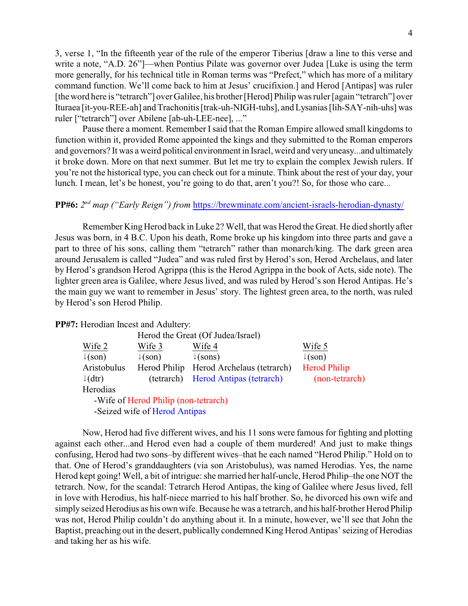3, verse 1, "In the fifteenth year of the rule of the emperor Tiberius [draw a line to this verse and write a note, "A.D. 26"]—when Pontius Pilate was governor over Judea [Luke is using the term more generally, for his technical title in Roman terms was "Prefect," which has more of a military command function. We'll come back to him at Jesus' crucifixion.] and Herod [Antipas] was ruler [the word here is "tetrarch"] over Galilee, his brother [Herod] Philip was ruler [again "tetrarch"] over Ituraea [it-you-REE-ah] and Trachonitis [trak-uh-NIGH-tuhs], and Lysanias [lih-SAY-nih-uhs] was ruler ["tetrarch"] over Abilene [ab-uh-LEE-nee], ..."

Pause there a moment. Remember Isaid that the Roman Empire allowed small kingdoms to function within it, provided Rome appointed the kings and they submitted to the Roman emperors and governors? It was a weird political environment in Israel, weird and veryuneasy...and ultimately it broke down. More on that next summer. But let me try to explain the complex Jewish rulers. If you're not the historical type, you can check out for a minute. Think about the rest of your day, your lunch. I mean, let's be honest, you're going to do that, aren't you?! So, for those who care...

## **PP#6:** 2<sup>nd</sup> map ("Early Reign") from <https://brewminate.com/ancient-israels-herodian-dynasty/>

Remember King Herod back in Luke 2? Well, that was Herod the Great. He died shortly after Jesus was born, in 4 B.C. Upon his death, Rome broke up his kingdom into three parts and gave a part to three of his sons, calling them "tetrarch" rather than monarch/king. The dark green area around Jerusalem is called "Judea" and was ruled first by Herod's son, Herod Archelaus, and later by Herod's grandson Herod Agrippa (this is the Herod Agrippa in the book of Acts, side note). The lighter green area is Galilee, where Jesus lived, and was ruled by Herod's son Herod Antipas. He's the main guy we want to remember in Jesus' story. The lightest green area, to the north, was ruled by Herod's son Herod Philip.

**PP#7:** Herodian Incest and Adultery:

|                    | Herod the Great (Of Judea/Israel)    |                                 |                     |
|--------------------|--------------------------------------|---------------------------------|---------------------|
| Wife 2             | Wife 3                               | Wife 4                          | Wife 5              |
| $\downarrow$ (son) | $\downarrow$ (son)                   | $\downarrow$ (sons)             | $\downarrow$ (son)  |
| Aristobulus        | Herod Philip                         | Herod Archelaus (tetrarch)      | <b>Herod Philip</b> |
| $\downarrow$ (dtr) | (tetrarch)                           | <b>Herod Antipas (tetrarch)</b> | (non-tetrarch)      |
| Herodias           |                                      |                                 |                     |
|                    | -Wife of Herod Philip (non-tetrarch) |                                 |                     |
|                    | -Seized wife of Herod Antipas        |                                 |                     |

Now, Herod had five different wives, and his 11 sons were famous for fighting and plotting against each other...and Herod even had a couple of them murdered! And just to make things confusing, Herod had two sons–by different wives–that he each named "Herod Philip." Hold on to that. One of Herod's granddaughters (via son Aristobulus), was named Herodias. Yes, the name Herod kept going! Well, a bit of intrigue: she married her half-uncle, Herod Philip–the one NOT the tetrarch. Now, for the scandal: Tetrarch Herod Antipas, the king of Galilee where Jesus lived, fell in love with Herodius, his half-niece married to his half brother. So, he divorced his own wife and simply seized Herodius as his own wife. Because he was a tetrarch, and his half-brother Herod Philip was not, Herod Philip couldn't do anything about it. In a minute, however, we'll see that John the Baptist, preaching out in the desert, publically condemned King Herod Antipas' seizing of Herodias and taking her as his wife.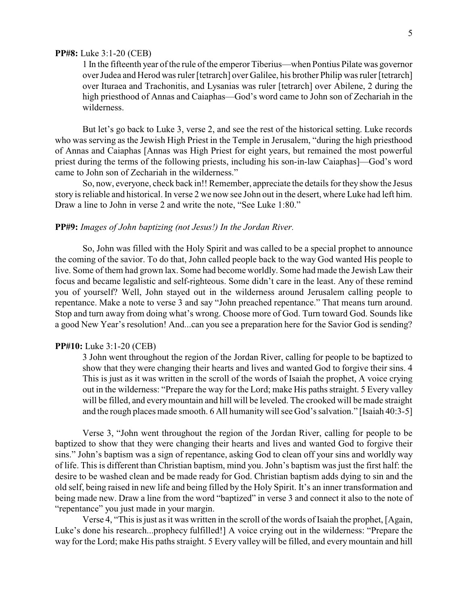#### **PP#8:** Luke 3:1-20 (CEB)

1 In the fifteenth year of the rule of the emperor Tiberius—when Pontius Pilate was governor over Judea and Herod was ruler [tetrarch] over Galilee, his brother Philip was ruler [tetrarch] over Ituraea and Trachonitis, and Lysanias was ruler [tetrarch] over Abilene, 2 during the high priesthood of Annas and Caiaphas—God's word came to John son of Zechariah in the wilderness.

But let's go back to Luke 3, verse 2, and see the rest of the historical setting. Luke records who was serving as the Jewish High Priest in the Temple in Jerusalem, "during the high priesthood of Annas and Caiaphas [Annas was High Priest for eight years, but remained the most powerful priest during the terms of the following priests, including his son-in-law Caiaphas]—God's word came to John son of Zechariah in the wilderness."

So, now, everyone, check back in!! Remember, appreciate the details for they show the Jesus story is reliable and historical. In verse 2 we now see John out in the desert, where Luke had left him. Draw a line to John in verse 2 and write the note, "See Luke 1:80."

### **PP#9:** *Images of John baptizing (not Jesus!) In the Jordan River.*

So, John was filled with the Holy Spirit and was called to be a special prophet to announce the coming of the savior. To do that, John called people back to the way God wanted His people to live. Some of them had grown lax. Some had become worldly. Some had made the Jewish Law their focus and became legalistic and self-righteous. Some didn't care in the least. Any of these remind you of yourself? Well, John stayed out in the wilderness around Jerusalem calling people to repentance. Make a note to verse 3 and say "John preached repentance." That means turn around. Stop and turn away from doing what's wrong. Choose more of God. Turn toward God. Sounds like a good New Year's resolution! And...can you see a preparation here for the Savior God is sending?

#### **PP#10:** Luke 3:1-20 (CEB)

3 John went throughout the region of the Jordan River, calling for people to be baptized to show that they were changing their hearts and lives and wanted God to forgive their sins. 4 This is just as it was written in the scroll of the words of Isaiah the prophet, A voice crying out in the wilderness: "Prepare the way for the Lord; make His paths straight. 5 Every valley will be filled, and every mountain and hill will be leveled. The crooked will be made straight and the rough places made smooth. 6 All humanitywill see God's salvation." [Isaiah 40:3-5]

Verse 3, "John went throughout the region of the Jordan River, calling for people to be baptized to show that they were changing their hearts and lives and wanted God to forgive their sins." John's baptism was a sign of repentance, asking God to clean off your sins and worldly way of life. This is different than Christian baptism, mind you. John's baptism was just the first half: the desire to be washed clean and be made ready for God. Christian baptism adds dying to sin and the old self, being raised in new life and being filled by the Holy Spirit. It's an inner transformation and being made new. Draw a line from the word "baptized" in verse 3 and connect it also to the note of "repentance" you just made in your margin.

Verse 4, "This is just as it was written in the scroll of the words of Isaiah the prophet, [Again, Luke's done his research...prophecy fulfilled!] A voice crying out in the wilderness: "Prepare the way for the Lord; make His paths straight. 5 Every valley will be filled, and every mountain and hill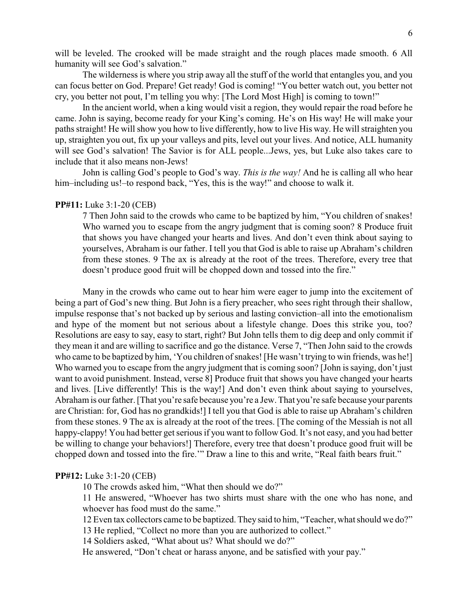will be leveled. The crooked will be made straight and the rough places made smooth. 6 All humanity will see God's salvation."

The wilderness is where you strip away all the stuff of the world that entangles you, and you can focus better on God. Prepare! Get ready! God is coming! "You better watch out, you better not cry, you better not pout, I'm telling you why: [The Lord Most High] is coming to town!"

In the ancient world, when a king would visit a region, they would repair the road before he came. John is saying, become ready for your King's coming. He's on His way! He will make your paths straight! He will show you how to live differently, how to live His way. He will straighten you up, straighten you out, fix up your valleys and pits, level out your lives. And notice, ALL humanity will see God's salvation! The Savior is for ALL people...Jews, yes, but Luke also takes care to include that it also means non-Jews!

John is calling God's people to God's way. *This is the way!* And he is calling all who hear him–including us!–to respond back, "Yes, this is the way!" and choose to walk it.

### **PP#11:** Luke 3:1-20 (CEB)

7 Then John said to the crowds who came to be baptized by him, "You children of snakes! Who warned you to escape from the angry judgment that is coming soon? 8 Produce fruit that shows you have changed your hearts and lives. And don't even think about saying to yourselves, Abraham is our father. I tell you that God is able to raise up Abraham's children from these stones. 9 The ax is already at the root of the trees. Therefore, every tree that doesn't produce good fruit will be chopped down and tossed into the fire."

Many in the crowds who came out to hear him were eager to jump into the excitement of being a part of God's new thing. But John is a fiery preacher, who sees right through their shallow, impulse response that's not backed up by serious and lasting conviction–all into the emotionalism and hype of the moment but not serious about a lifestyle change. Does this strike you, too? Resolutions are easy to say, easy to start, right? But John tells them to dig deep and only commit if they mean it and are willing to sacrifice and go the distance. Verse 7, "Then John said to the crowds who came to be baptized by him, 'You children of snakes! [He wasn't trying to win friends, was he!] Who warned you to escape from the angry judgment that is coming soon? [John is saying, don't just want to avoid punishment. Instead, verse 8] Produce fruit that shows you have changed your hearts and lives. [Live differently! This is the way!] And don't even think about saying to yourselves, Abraham is our father. [That you're safe because you're a Jew. That you're safe because your parents are Christian: for, God has no grandkids!] I tell you that God is able to raise up Abraham's children from these stones. 9 The ax is already at the root of the trees. [The coming of the Messiah is not all happy-clappy! You had better get serious if you want to follow God. It's not easy, and you had better be willing to change your behaviors!] Therefore, every tree that doesn't produce good fruit will be chopped down and tossed into the fire.'" Draw a line to this and write, "Real faith bears fruit."

### **PP#12:** Luke 3:1-20 (CEB)

10 The crowds asked him, "What then should we do?"

11 He answered, "Whoever has two shirts must share with the one who has none, and whoever has food must do the same."

12 Even tax collectors came to be baptized. They said to him, "Teacher, what should we do?" 13 He replied, "Collect no more than you are authorized to collect."

14 Soldiers asked, "What about us? What should we do?"

He answered, "Don't cheat or harass anyone, and be satisfied with your pay."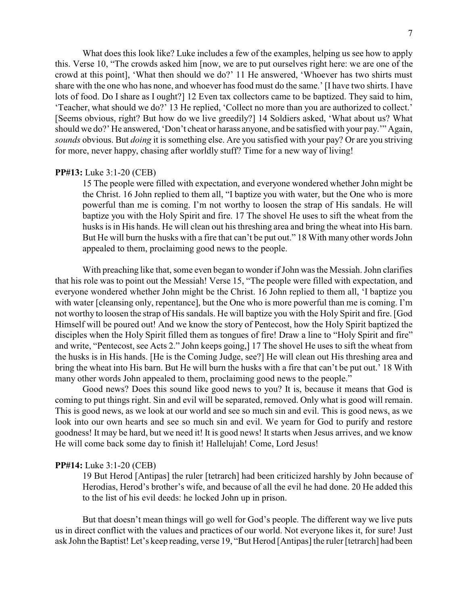What does this look like? Luke includes a few of the examples, helping us see how to apply this. Verse 10, "The crowds asked him [now, we are to put ourselves right here: we are one of the crowd at this point], 'What then should we do?' 11 He answered, 'Whoever has two shirts must share with the one who has none, and whoever has food must do the same.' [I have two shirts. I have lots of food. Do I share as I ought?] 12 Even tax collectors came to be baptized. They said to him, 'Teacher, what should we do?' 13 He replied, 'Collect no more than you are authorized to collect.' [Seems obvious, right? But how do we live greedily?] 14 Soldiers asked, 'What about us? What should we do?' He answered, 'Don't cheat or harass anyone, and be satisfied with your pay.'" Again, *sounds* obvious. But *doing* it is something else. Are you satisfied with your pay? Or are you striving for more, never happy, chasing after worldly stuff? Time for a new way of living!

### **PP#13:** Luke 3:1-20 (CEB)

15 The people were filled with expectation, and everyone wondered whether John might be the Christ. 16 John replied to them all, "I baptize you with water, but the One who is more powerful than me is coming. I'm not worthy to loosen the strap of His sandals. He will baptize you with the Holy Spirit and fire. 17 The shovel He uses to sift the wheat from the husks is in His hands. He will clean out his threshing area and bring the wheat into His barn. But He will burn the husks with a fire that can't be put out." 18 With many other words John appealed to them, proclaiming good news to the people.

With preaching like that, some even began to wonder if John was the Messiah. John clarifies that his role was to point out the Messiah! Verse 15, "The people were filled with expectation, and everyone wondered whether John might be the Christ. 16 John replied to them all, 'I baptize you with water [cleansing only, repentance], but the One who is more powerful than me is coming. I'm not worthy to loosen the strap of His sandals. He will baptize you with the Holy Spirit and fire. [God Himself will be poured out! And we know the story of Pentecost, how the Holy Spirit baptized the disciples when the Holy Spirit filled them as tongues of fire! Draw a line to "Holy Spirit and fire" and write, "Pentecost, see Acts 2." John keeps going,] 17 The shovel He uses to sift the wheat from the husks is in His hands. [He is the Coming Judge, see?] He will clean out His threshing area and bring the wheat into His barn. But He will burn the husks with a fire that can't be put out.' 18 With many other words John appealed to them, proclaiming good news to the people."

Good news? Does this sound like good news to you? It is, because it means that God is coming to put things right. Sin and evil will be separated, removed. Only what is good will remain. This is good news, as we look at our world and see so much sin and evil. This is good news, as we look into our own hearts and see so much sin and evil. We yearn for God to purify and restore goodness! It may be hard, but we need it! It is good news! It starts when Jesus arrives, and we know He will come back some day to finish it! Hallelujah! Come, Lord Jesus!

#### **PP#14:** Luke 3:1-20 (CEB)

19 But Herod [Antipas] the ruler [tetrarch] had been criticized harshly by John because of Herodias, Herod's brother's wife, and because of all the evil he had done. 20 He added this to the list of his evil deeds: he locked John up in prison.

But that doesn't mean things will go well for God's people. The different way we live puts us in direct conflict with the values and practices of our world. Not everyone likes it, for sure! Just ask John the Baptist! Let's keep reading, verse 19, "But Herod [Antipas] the ruler [tetrarch] had been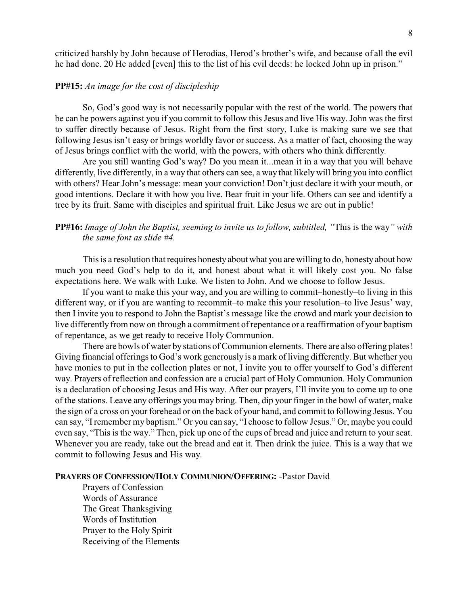criticized harshly by John because of Herodias, Herod's brother's wife, and because of all the evil he had done. 20 He added [even] this to the list of his evil deeds: he locked John up in prison."

## **PP#15:** *An image for the cost of discipleship*

So, God's good way is not necessarily popular with the rest of the world. The powers that be can be powers against you if you commit to follow this Jesus and live His way. John was the first to suffer directly because of Jesus. Right from the first story, Luke is making sure we see that following Jesus isn't easy or brings worldly favor or success. As a matter of fact, choosing the way of Jesus brings conflict with the world, with the powers, with others who think differently.

Are you still wanting God's way? Do you mean it...mean it in a way that you will behave differently, live differently, in a way that others can see, a way that likely will bring you into conflict with others? Hear John's message: mean your conviction! Don't just declare it with your mouth, or good intentions. Declare it with how you live. Bear fruit in your life. Others can see and identify a tree by its fruit. Same with disciples and spiritual fruit. Like Jesus we are out in public!

# **PP#16:** *Image of John the Baptist, seeming to invite us to follow, subtitled, "*This is the way*" with the same font as slide #4.*

This is a resolution that requires honesty about what you are willing to do, honesty about how much you need God's help to do it, and honest about what it will likely cost you. No false expectations here. We walk with Luke. We listen to John. And we choose to follow Jesus.

If you want to make this your way, and you are willing to commit–honestly–to living in this different way, or if you are wanting to recommit–to make this your resolution–to live Jesus' way, then I invite you to respond to John the Baptist's message like the crowd and mark your decision to live differently from now on through a commitment of repentance or a reaffirmation of your baptism of repentance, as we get ready to receive Holy Communion.

There are bowls of water by stations of Communion elements. There are also offering plates! Giving financial offerings to God's work generously is a mark of living differently. But whether you have monies to put in the collection plates or not, I invite you to offer yourself to God's different way. Prayers of reflection and confession are a crucial part of Holy Communion. Holy Communion is a declaration of choosing Jesus and His way. After our prayers, I'll invite you to come up to one of the stations. Leave any offerings you may bring. Then, dip your finger in the bowl of water, make the sign of a cross on your forehead or on the back of your hand, and commit to following Jesus. You can say, "I remember my baptism." Or you can say, "I choose to follow Jesus." Or, maybe you could even say, "This is the way." Then, pick up one of the cups of bread and juice and return to your seat. Whenever you are ready, take out the bread and eat it. Then drink the juice. This is a way that we commit to following Jesus and His way.

#### **PRAYERS OF CONFESSION/HOLY COMMUNION/OFFERING:** -Pastor David

Prayers of Confession Words of Assurance The Great Thanksgiving Words of Institution Prayer to the Holy Spirit Receiving of the Elements